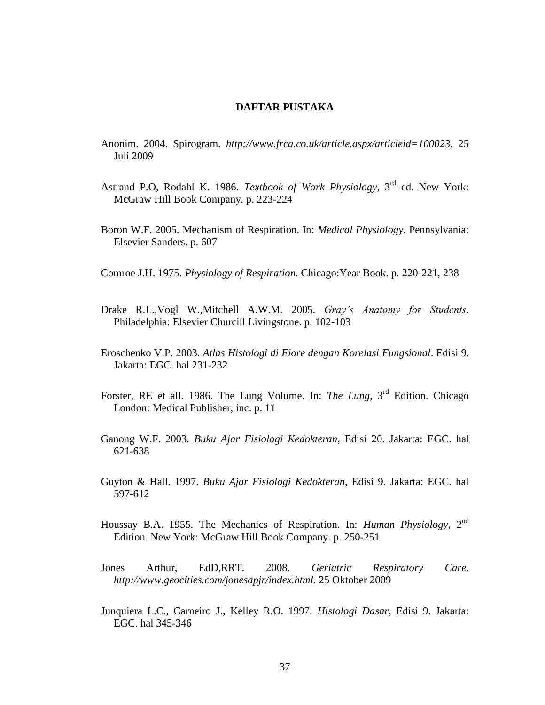## **DAFTAR PUSTAKA**

- Anonim. 2004. Spirogram. *[http://www.frca.co.uk/article.aspx/articleid=100023.](http://www.frca.co.uk/article.aspx/articleid=100023)* 25 Juli 2009
- Astrand P.O, Rodahl K. 1986. *Textbook of Work Physiology*, 3rd ed. New York: McGraw Hill Book Company. p. 223-224
- Boron W.F. 2005. Mechanism of Respiration. In: *Medical Physiology*. Pennsylvania: Elsevier Sanders. p. 607
- Comroe J.H. 1975. *Physiology of Respiration*. Chicago:Year Book. p. 220-221, 238
- Drake R.L.,Vogl W.,Mitchell A.W.M. 2005. *Gray's Anatomy for Students*. Philadelphia: Elsevier Churcill Livingstone. p. 102-103
- Eroschenko V.P. 2003. *Atlas Histologi di Fiore dengan Korelasi Fungsional*. Edisi 9. Jakarta: EGC. hal 231-232
- Forster, RE et all. 1986. The Lung Volume. In: *The Lung*, 3rd Edition. Chicago London: Medical Publisher, inc. p. 11
- Ganong W.F. 2003. *Buku Ajar Fisiologi Kedokteran*, Edisi 20. Jakarta: EGC. hal 621-638
- Guyton & Hall. 1997. *Buku Ajar Fisiologi Kedokteran*, Edisi 9. Jakarta: EGC. hal 597-612
- Houssay B.A. 1955. The Mechanics of Respiration. In: *Human Physiology*, 2nd Edition. New York: McGraw Hill Book Company. p. 250-251
- Jones Arthur, EdD,RRT. 2008. *Geriatric Respiratory Care*. *[http://www.geocities.com/jonesapjr/index.html.](http://www.geocities.com/jonesapjr/index.html)* 25 Oktober 2009
- Junquiera L.C., Carneiro J., Kelley R.O. 1997. *Histologi Dasar*, Edisi 9. Jakarta: EGC. hal 345-346